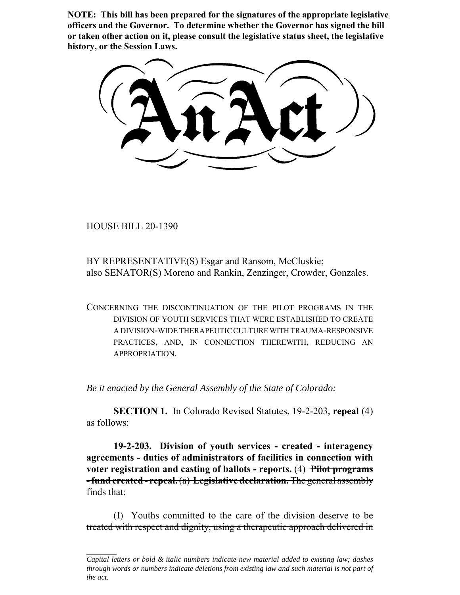**NOTE: This bill has been prepared for the signatures of the appropriate legislative officers and the Governor. To determine whether the Governor has signed the bill or taken other action on it, please consult the legislative status sheet, the legislative history, or the Session Laws.**

HOUSE BILL 20-1390

BY REPRESENTATIVE(S) Esgar and Ransom, McCluskie; also SENATOR(S) Moreno and Rankin, Zenzinger, Crowder, Gonzales.

CONCERNING THE DISCONTINUATION OF THE PILOT PROGRAMS IN THE DIVISION OF YOUTH SERVICES THAT WERE ESTABLISHED TO CREATE A DIVISION-WIDE THERAPEUTIC CULTURE WITH TRAUMA-RESPONSIVE PRACTICES, AND, IN CONNECTION THEREWITH, REDUCING AN APPROPRIATION.

*Be it enacted by the General Assembly of the State of Colorado:*

**SECTION 1.** In Colorado Revised Statutes, 19-2-203, **repeal** (4) as follows:

**19-2-203. Division of youth services - created - interagency agreements - duties of administrators of facilities in connection with voter registration and casting of ballots - reports.** (4) **Pilot programs - fund created - repeal.** (a) **Legislative declaration.** The general assembly finds that:

(I) Youths committed to the care of the division deserve to be treated with respect and dignity, using a therapeutic approach delivered in

*Capital letters or bold & italic numbers indicate new material added to existing law; dashes through words or numbers indicate deletions from existing law and such material is not part of the act.*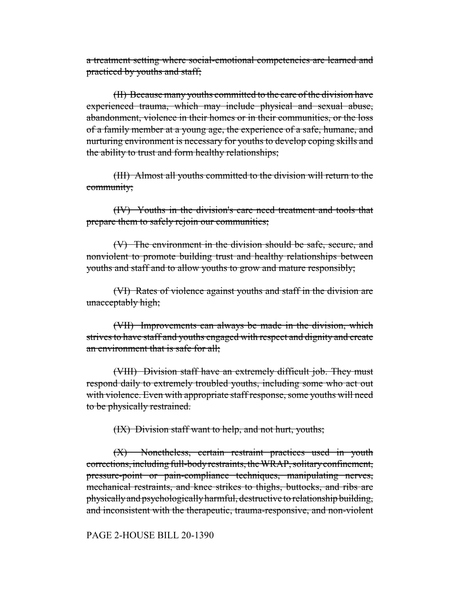a treatment setting where social-emotional competencies are learned and practiced by youths and staff;

(II) Because many youths committed to the care of the division have experienced trauma, which may include physical and sexual abuse, abandonment, violence in their homes or in their communities, or the loss of a family member at a young age, the experience of a safe, humane, and nurturing environment is necessary for youths to develop coping skills and the ability to trust and form healthy relationships;

(III) Almost all youths committed to the division will return to the community;

(IV) Youths in the division's care need treatment and tools that prepare them to safely rejoin our communities;

(V) The environment in the division should be safe, secure, and nonviolent to promote building trust and healthy relationships between youths and staff and to allow youths to grow and mature responsibly;

(VI) Rates of violence against youths and staff in the division are unacceptably high;

(VII) Improvements can always be made in the division, which strives to have staff and youths engaged with respect and dignity and create an environment that is safe for all;

(VIII) Division staff have an extremely difficult job. They must respond daily to extremely troubled youths, including some who act out with violence. Even with appropriate staff response, some youths will need to be physically restrained.

(IX) Division staff want to help, and not hurt, youths;

(X) Nonetheless, certain restraint practices used in youth corrections, including full-body restraints, the WRAP, solitary confinement, pressure-point or pain-compliance techniques, manipulating nerves, mechanical restraints, and knee strikes to thighs, buttocks, and ribs are physically and psychologically harmful, destructive to relationship building, and inconsistent with the therapeutic, trauma-responsive, and non-violent

PAGE 2-HOUSE BILL 20-1390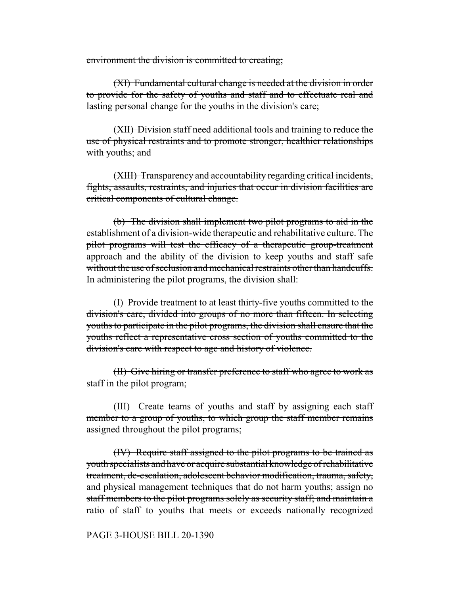environment the division is committed to creating;

(XI) Fundamental cultural change is needed at the division in order to provide for the safety of youths and staff and to effectuate real and lasting personal change for the youths in the division's care;

(XII) Division staff need additional tools and training to reduce the use of physical restraints and to promote stronger, healthier relationships with youths; and

(XIII) Transparency and accountability regarding critical incidents, fights, assaults, restraints, and injuries that occur in division facilities are critical components of cultural change.

(b) The division shall implement two pilot programs to aid in the establishment of a division-wide therapeutic and rehabilitative culture. The pilot programs will test the efficacy of a therapeutic group-treatment approach and the ability of the division to keep youths and staff safe without the use of seclusion and mechanical restraints other than handcuffs. In administering the pilot programs, the division shall:

(I) Provide treatment to at least thirty-five youths committed to the division's care, divided into groups of no more than fifteen. In selecting youths to participate in the pilot programs, the division shall ensure that the youths reflect a representative cross section of youths committed to the division's care with respect to age and history of violence.

(II) Give hiring or transfer preference to staff who agree to work as staff in the pilot program;

(III) Create teams of youths and staff by assigning each staff member to a group of youths, to which group the staff member remains assigned throughout the pilot programs;

(IV) Require staff assigned to the pilot programs to be trained as youth specialists and have or acquire substantial knowledge of rehabilitative treatment, de-escalation, adolescent behavior modification, trauma, safety, and physical management techniques that do not harm youths; assign no staff members to the pilot programs solely as security staff; and maintain a ratio of staff to youths that meets or exceeds nationally recognized

## PAGE 3-HOUSE BILL 20-1390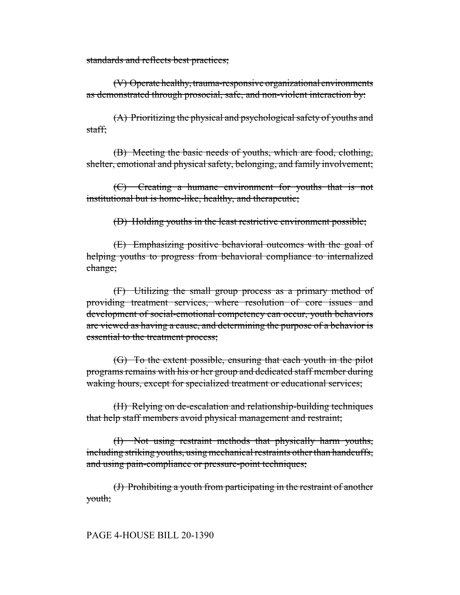standards and reflects best practices;

(V) Operate healthy, trauma-responsive organizational environments as demonstrated through prosocial, safe, and non-violent interaction by:

(A) Prioritizing the physical and psychological safety of youths and staff;

(B) Meeting the basic needs of youths, which are food, clothing, shelter, emotional and physical safety, belonging, and family involvement;

(C) Creating a humane environment for youths that is not institutional but is home-like, healthy, and therapeutic;

(D) Holding youths in the least restrictive environment possible;

(E) Emphasizing positive behavioral outcomes with the goal of helping youths to progress from behavioral compliance to internalized change;

(F) Utilizing the small group process as a primary method of providing treatment services, where resolution of core issues and development of social-emotional competency can occur, youth behaviors are viewed as having a cause, and determining the purpose of a behavior is essential to the treatment process;

(G) To the extent possible, ensuring that each youth in the pilot programs remains with his or her group and dedicated staff member during waking hours, except for specialized treatment or educational services;

(H) Relying on de-escalation and relationship-building techniques that help staff members avoid physical management and restraint;

(I) Not using restraint methods that physically harm youths, including striking youths, using mechanical restraints other than handcuffs, and using pain-compliance or pressure-point techniques;

(J) Prohibiting a youth from participating in the restraint of another youth;

## PAGE 4-HOUSE BILL 20-1390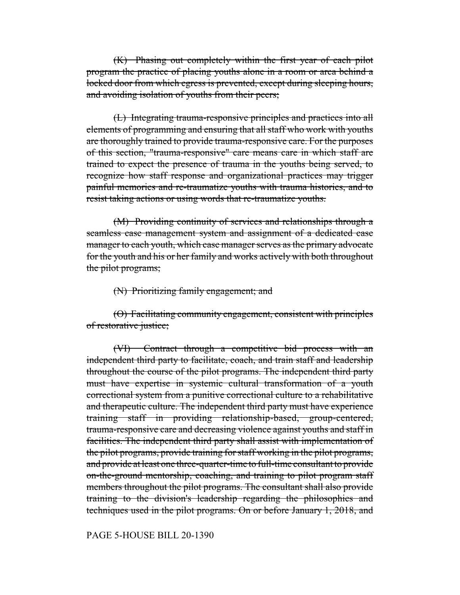(K) Phasing out completely within the first year of each pilot program the practice of placing youths alone in a room or area behind a locked door from which egress is prevented, except during sleeping hours, and avoiding isolation of youths from their peers;

(L) Integrating trauma-responsive principles and practices into all elements of programming and ensuring that all staff who work with youths are thoroughly trained to provide trauma-responsive care. For the purposes of this section, "trauma-responsive" care means care in which staff are trained to expect the presence of trauma in the youths being served, to recognize how staff response and organizational practices may trigger painful memories and re-traumatize youths with trauma histories, and to resist taking actions or using words that re-traumatize youths.

(M) Providing continuity of services and relationships through a seamless case management system and assignment of a dedicated case manager to each youth, which case manager serves as the primary advocate for the youth and his or her family and works actively with both throughout the pilot programs;

## (N) Prioritizing family engagement; and

(O) Facilitating community engagement, consistent with principles of restorative justice;

(VI) Contract through a competitive bid process with an independent third party to facilitate, coach, and train staff and leadership throughout the course of the pilot programs. The independent third party must have expertise in systemic cultural transformation of a youth correctional system from a punitive correctional culture to a rehabilitative and therapeutic culture. The independent third party must have experience training staff in providing relationship-based, group-centered, trauma-responsive care and decreasing violence against youths and staff in facilities. The independent third party shall assist with implementation of the pilot programs, provide training for staff working in the pilot programs, and provide at least one three-quarter-time to full-time consultant to provide on-the-ground mentorship, coaching, and training to pilot program staff members throughout the pilot programs. The consultant shall also provide training to the division's leadership regarding the philosophies and techniques used in the pilot programs. On or before January 1, 2018, and

PAGE 5-HOUSE BILL 20-1390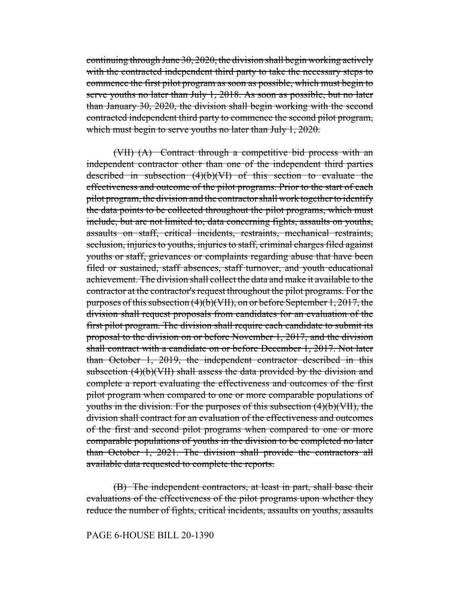continuing through June 30, 2020, the division shall begin working actively with the contracted independent third party to take the necessary steps to commence the first pilot program as soon as possible, which must begin to serve youths no later than July 1, 2018. As soon as possible, but no later than January 30, 2020, the division shall begin working with the second contracted independent third party to commence the second pilot program, which must begin to serve youths no later than July 1, 2020.

(VII) (A) Contract through a competitive bid process with an independent contractor other than one of the independent third parties described in subsection (4)(b)(VI) of this section to evaluate the effectiveness and outcome of the pilot programs. Prior to the start of each pilot program, the division and the contractor shall work together to identify the data points to be collected throughout the pilot programs, which must include, but are not limited to, data concerning fights, assaults on youths, assaults on staff, critical incidents, restraints, mechanical restraints, seclusion, injuries to youths, injuries to staff, criminal charges filed against youths or staff, grievances or complaints regarding abuse that have been filed or sustained, staff absences, staff turnover, and youth educational achievement. The division shall collect the data and make it available to the contractor at the contractor's request throughout the pilot programs. For the purposes of this subsection (4)(b)(VII), on or before September 1, 2017, the division shall request proposals from candidates for an evaluation of the first pilot program. The division shall require each candidate to submit its proposal to the division on or before November 1, 2017, and the division shall contract with a candidate on or before December 1, 2017. Not later than October 1, 2019, the independent contractor described in this subsection (4)(b)(VII) shall assess the data provided by the division and complete a report evaluating the effectiveness and outcomes of the first pilot program when compared to one or more comparable populations of youths in the division. For the purposes of this subsection (4)(b)(VII), the division shall contract for an evaluation of the effectiveness and outcomes of the first and second pilot programs when compared to one or more comparable populations of youths in the division to be completed no later than October 1, 2021. The division shall provide the contractors all available data requested to complete the reports.

(B) The independent contractors, at least in part, shall base their evaluations of the effectiveness of the pilot programs upon whether they reduce the number of fights, critical incidents, assaults on youths, assaults

PAGE 6-HOUSE BILL 20-1390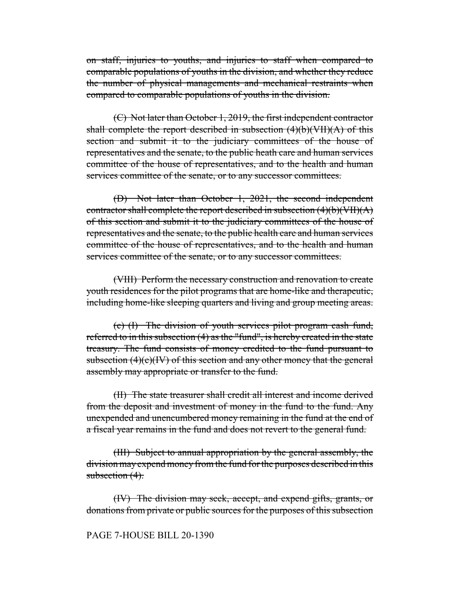on staff, injuries to youths, and injuries to staff when compared to comparable populations of youths in the division, and whether they reduce the number of physical managements and mechanical restraints when compared to comparable populations of youths in the division.

(C) Not later than October 1, 2019, the first independent contractor shall complete the report described in subsection  $(4)(b)(VII)(A)$  of this section and submit it to the judiciary committees of the house of representatives and the senate, to the public heath care and human services committee of the house of representatives, and to the health and human services committee of the senate, or to any successor committees.

(D) Not later than October 1, 2021, the second independent contractor shall complete the report described in subsection  $(4)(b)(VII)(A)$ of this section and submit it to the judiciary committees of the house of representatives and the senate, to the public health care and human services committee of the house of representatives, and to the health and human services committee of the senate, or to any successor committees.

(VIII) Perform the necessary construction and renovation to create youth residences for the pilot programs that are home-like and therapeutic, including home-like sleeping quarters and living and group meeting areas.

(c) (I) The division of youth services pilot program cash fund, referred to in this subsection (4) as the "fund", is hereby created in the state treasury. The fund consists of money credited to the fund pursuant to subsection  $(4)(c)(IV)$  of this section and any other money that the general assembly may appropriate or transfer to the fund.

(II) The state treasurer shall credit all interest and income derived from the deposit and investment of money in the fund to the fund. Any unexpended and unencumbered money remaining in the fund at the end of a fiscal year remains in the fund and does not revert to the general fund.

(III) Subject to annual appropriation by the general assembly, the division may expend money from the fund for the purposes described in this subsection  $(4)$ .

(IV) The division may seek, accept, and expend gifts, grants, or donations from private or public sources for the purposes of this subsection

## PAGE 7-HOUSE BILL 20-1390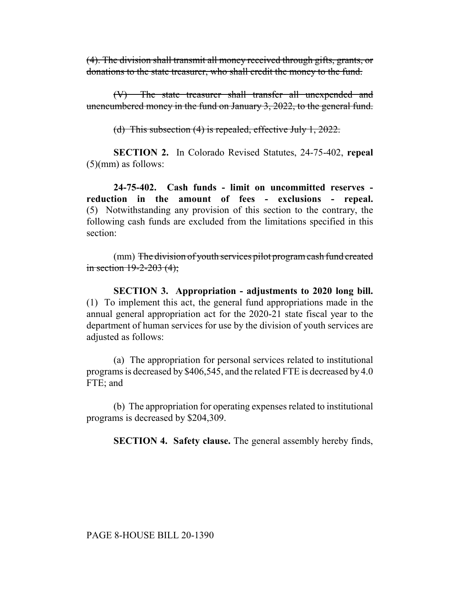(4). The division shall transmit all money received through gifts, grants, or donations to the state treasurer, who shall credit the money to the fund.

(V) The state treasurer shall transfer all unexpended and unencumbered money in the fund on January 3, 2022, to the general fund.

(d) This subsection (4) is repealed, effective July 1, 2022.

**SECTION 2.** In Colorado Revised Statutes, 24-75-402, **repeal** (5)(mm) as follows:

**24-75-402. Cash funds - limit on uncommitted reserves reduction in the amount of fees - exclusions - repeal.** (5) Notwithstanding any provision of this section to the contrary, the following cash funds are excluded from the limitations specified in this section:

(mm) The division of youth services pilot program cash fund created in section  $19 - 2 - 203$  (4);

**SECTION 3. Appropriation - adjustments to 2020 long bill.** (1) To implement this act, the general fund appropriations made in the annual general appropriation act for the 2020-21 state fiscal year to the department of human services for use by the division of youth services are adjusted as follows:

(a) The appropriation for personal services related to institutional programs is decreased by \$406,545, and the related FTE is decreased by 4.0 FTE; and

(b) The appropriation for operating expenses related to institutional programs is decreased by \$204,309.

**SECTION 4. Safety clause.** The general assembly hereby finds,